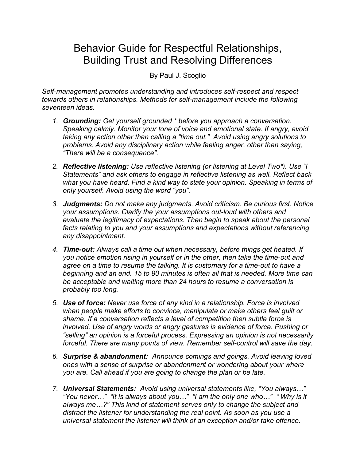## Behavior Guide for Respectful Relationships, Building Trust and Resolving Differences

By Paul J. Scoglio

*Self-management promotes understanding and introduces self-respect and respect towards others in relationships. Methods for self-management include the following seventeen ideas.*

- *1. Grounding: Get yourself grounded \* before you approach a conversation. Speaking calmly. Monitor your tone of voice and emotional state. If angry, avoid taking any action other than calling a "time out." Avoid using angry solutions to problems. Avoid any disciplinary action while feeling anger, other than saying, "There will be a consequence".*
- *2. Reflective listening: Use reflective listening (or listening at Level Two\*). Use "I Statements" and ask others to engage in reflective listening as well. Reflect back what you have heard. Find a kind way to state your opinion. Speaking in terms of only yourself. Avoid using the word "you".*
- *3. Judgments: Do not make any judgments. Avoid criticism. Be curious first. Notice your assumptions. Clarify the your assumptions out-loud with others and evaluate the legitimacy of expectations. Then begin to speak about the personal*  facts relating to you and your assumptions and expectations without referencing *any disappointment.*
- *4. Time-out: Always call a time out when necessary, before things get heated. If you notice emotion rising in yourself or in the other, then take the time-out and*  agree on a time to resume the talking. It is customary for a time-out to have a *beginning and an end. 15 to 90 minutes is often all that is needed. More time can be acceptable and waiting more than 24 hours to resume a conversation is probably too long.*
- *5. Use of force: Never use force of any kind in a relationship. Force is involved when people make efforts to convince, manipulate or make others feel guilt or shame. If a conversation reflects a level of competition then subtle force is involved. Use of angry words or angry gestures is evidence of force. Pushing or "selling" an opinion is a forceful process. Expressing an opinion is not necessarily forceful. There are many points of view. Remember self-control will save the day.*
- *6. Surprise & abandonment: Announce comings and goings. Avoid leaving loved ones with a sense of surprise or abandonment or wondering about your where you are. Call ahead if you are going to change the plan or be late.*
- *7. Universal Statements: Avoid using universal statements like, "You always…" "You never…" "It is always about you…" "I am the only one who…" " Why is it always me…?" This kind of statement serves only to change the subject and distract the listener for understanding the real point. As soon as you use a universal statement the listener will think of an exception and/or take offence.*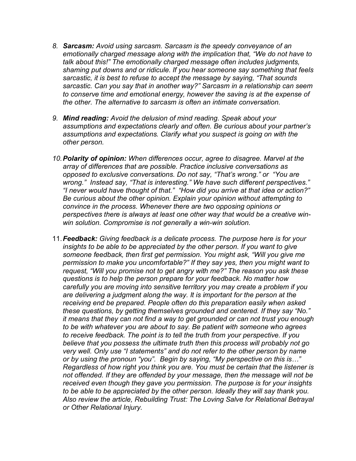- *8. Sarcasm: Avoid using sarcasm. Sarcasm is the speedy conveyance of an emotionally charged message along with the implication that, "We do not have to talk about this!" The emotionally charged message often includes judgments, shaming put downs and or ridicule. If you hear someone say something that feels sarcastic, it is best to refuse to accept the message by saying, "That sounds sarcastic. Can you say that in another way?" Sarcasm in a relationship can seem to conserve time and emotional energy, however the saving is at the expense of the other. The alternative to sarcasm is often an intimate conversation.*
- *9. Mind reading: Avoid the delusion of mind reading. Speak about your assumptions and expectations clearly and often. Be curious about your partner's assumptions and expectations. Clarify what you suspect is going on with the other person.*
- *10.Polarity of opinion: When differences occur, agree to disagree. Marvel at the array of differences that are possible. Practice inclusive conversations as opposed to exclusive conversations. Do not say, "That's wrong." or "You are wrong." Instead say, "That is interesting." We have such different perspectives." "I never would have thought of that." "How did you arrive at that idea or action?" Be curious about the other opinion. Explain your opinion without attempting to convince in the process. Whenever there are two opposing opinions or perspectives there is always at least one other way that would be a creative winwin solution. Compromise is not generally a win-win solution.*
- 11.*Feedback: Giving feedback is a delicate process. The purpose here is for your*  insights to be able to be appreciated by the other person. If you want to give *someone feedback, then first get permission. You might ask, "Will you give me permission to make you uncomfortable?" If they say yes, then you might want to request, "Will you promise not to get angry with me?" The reason you ask these questions is to help the person prepare for your feedback. No matter how carefully you are moving into sensitive territory you may create a problem if you are delivering a judgment along the way. It is important for the person at the receiving end be prepared. People often do this preparation easily when asked these questions, by getting themselves grounded and centered. If they say "No." it means that they can not find a way to get grounded or can not trust you enough to be with whatever you are about to say. Be patient with someone who agrees to receive feedback. The point is to tell the truth from your perspective. If you believe that you possess the ultimate truth then this process will probably not go very well. Only use "I statements" and do not refer to the other person by name or by using the pronoun "you". Begin by saying, "My perspective on this is…" Regardless of how right you think you are. You must be certain that the listener is not offended. If they are offended by your message, then the message will not be received even though they gave you permission. The purpose is for your insights to be able to be appreciated by the other person. Ideally they will say thank you. Also review the article, Rebuilding Trust: The Loving Salve for Relational Betrayal or Other Relational Injury.*